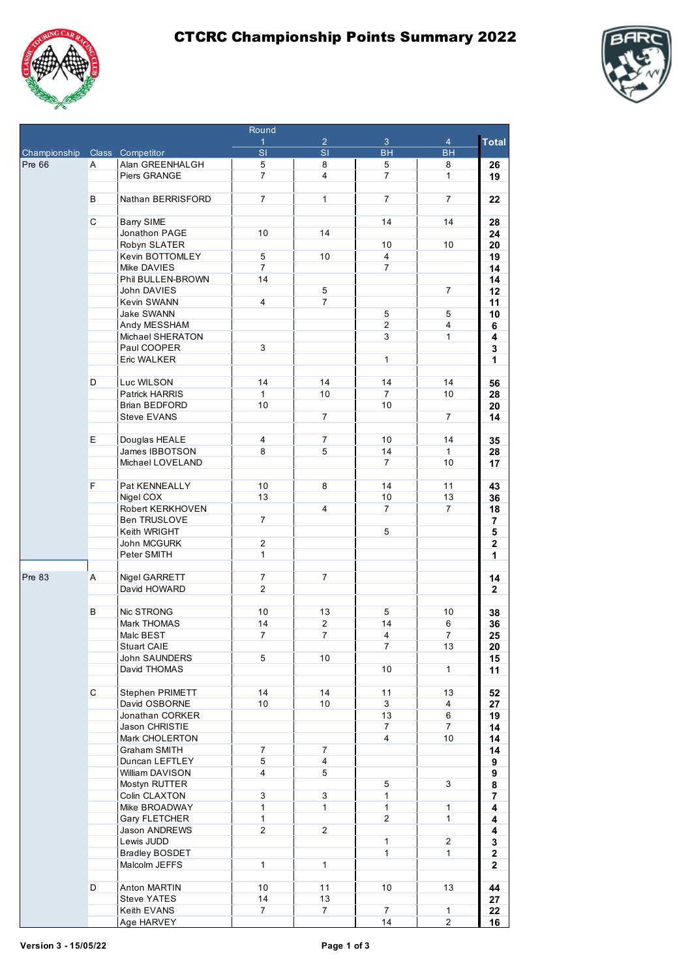





|                               |    |                                 | $\cdots$<br>$\mathbf{1}$       | $\overline{2}$           | 3                        | $\overline{4}$  | <b>Total</b>                 |
|-------------------------------|----|---------------------------------|--------------------------------|--------------------------|--------------------------|-----------------|------------------------------|
| Championship Class Competitor |    |                                 | $\overline{\mathsf{s}}$        | $\overline{\mathsf{SI}}$ | $\overline{\mathsf{BH}}$ | <b>BH</b>       |                              |
| <b>Pre 66</b>                 | A  | Alan GREENHALGH                 | 5                              | 8                        | 5                        | 8               | 26                           |
|                               |    | Piers GRANGE                    | $\overline{7}$                 | $\overline{4}$           | $\overline{7}$           | $\mathbf{1}$    | 19                           |
|                               |    |                                 |                                |                          |                          |                 |                              |
|                               | В  | Nathan BERRISFORD               | $\overline{7}$                 | $\mathbf{1}$             | $\overline{7}$           | $\overline{7}$  | 22                           |
|                               |    |                                 |                                |                          |                          |                 |                              |
|                               | C  | <b>Barry SIME</b>               |                                |                          | 14                       | 14              | 28                           |
|                               |    | Jonathon PAGE                   | 10                             | 14                       |                          |                 | 24                           |
|                               |    | Robyn SLATER<br>Kevin BOTTOMLEY | 5                              | 10                       | 10<br>$\overline{4}$     | 10 <sup>1</sup> | 20                           |
|                               |    | Mike DAVIES                     | $\overline{7}$                 |                          | $\overline{7}$           |                 | 19<br>14                     |
|                               |    | Phil BULLEN-BROWN               | 14                             |                          |                          |                 | 14                           |
|                               |    | John DAVIES                     |                                | 5                        |                          | $\overline{7}$  | 12                           |
|                               |    | Kevin SWANN                     | $\overline{4}$                 | $\overline{7}$           |                          |                 | 11                           |
|                               |    | <b>Jake SWANN</b>               |                                |                          | 5                        | 5               | 10                           |
|                               |    | Andy MESSHAM                    |                                |                          | $\overline{2}$           | $\overline{4}$  | 6                            |
|                               |    | Michael SHERATON                |                                |                          | 3                        | $\mathbf{1}$    | 4                            |
|                               |    | Paul COOPER                     | 3                              |                          |                          |                 | 3                            |
|                               |    | Eric WALKER                     |                                |                          | $\mathbf{1}$             |                 | 1                            |
|                               |    |                                 |                                |                          |                          |                 |                              |
|                               | D  | Luc WILSON                      | 14<br>$\mathbf{1}$             | 14<br>10                 | 14<br>$\overline{7}$     | 14              | 56                           |
|                               |    | Patrick HARRIS<br>Brian BEDFORD | 10                             |                          | 10                       | 10              | 28                           |
|                               |    | <b>Steve EVANS</b>              |                                | $\overline{7}$           |                          | $\overline{7}$  | 20<br>14                     |
|                               |    |                                 |                                |                          |                          |                 |                              |
|                               | E. | Douglas HEALE                   | $\overline{4}$                 | $\overline{7}$           | 10                       | 14              | 35                           |
|                               |    | James IBBOTSON                  | 8                              | 5                        | 14                       | $\mathbf{1}$    | 28                           |
|                               |    | Michael LOVELAND                |                                |                          | $\overline{7}$           | 10 <sup>1</sup> | 17                           |
|                               |    |                                 |                                |                          |                          |                 |                              |
|                               | F  | Pat KENNEALLY                   | 10 <sup>1</sup>                | 8                        | 14                       | 11              | 43                           |
|                               |    | Nigel COX                       | 13                             |                          | 10                       | 13              | 36                           |
|                               |    | Robert KERKHOVEN                |                                | 4                        | $\overline{7}$           | $\overline{7}$  | 18                           |
|                               |    | Ben TRUSLOVE                    | $\overline{7}$                 |                          |                          |                 | 7                            |
|                               |    | Keith WRIGHT                    |                                |                          | 5                        |                 | $\overline{\mathbf{5}}$      |
|                               |    | John MCGURK<br>Peter SMITH      | $\overline{2}$<br>$\mathbf{1}$ |                          |                          |                 | $\mathbf{2}$<br>1            |
|                               |    |                                 |                                |                          |                          |                 |                              |
| <b>Pre 83</b>                 | Α  | Nigel GARRETT                   | $\overline{7}$                 | 7                        |                          |                 | 14                           |
|                               |    | David HOWARD                    | $\overline{2}$                 |                          |                          |                 | $\mathbf{2}$                 |
|                               |    |                                 |                                |                          |                          |                 |                              |
|                               | В  | Nic STRONG                      | 10 <sup>1</sup>                | 13                       | 5                        | 10              | 38                           |
|                               |    | Mark THOMAS                     | 14                             | $\overline{2}$           | 14                       | 6               | 36                           |
|                               |    | Malc BEST                       | $\overline{7}$                 | 7                        | $\overline{4}$           | $\overline{7}$  | 25                           |
|                               |    | <b>Stuart CAIE</b>              |                                |                          | $\overline{7}$           | 13              | 20                           |
|                               |    | John SAUNDERS                   | 5                              | 10                       |                          |                 | 15                           |
|                               |    | David THOMAS                    |                                |                          | 10                       | $\mathbf{1}$    | 11                           |
|                               | C  | <b>Stephen PRIMETT</b>          | 14                             | 14                       | 11                       | 13              | 52                           |
|                               |    | David OSBORNE                   | 10 <sub>1</sub>                | 10                       | 3                        | $\overline{4}$  | 27                           |
|                               |    | Jonathan CORKER                 |                                |                          | 13                       | 6               | 19                           |
|                               |    | Jason CHRISTIE                  |                                |                          | $\overline{7}$           | $\overline{7}$  | 14                           |
|                               |    | Mark CHOLERTON                  |                                |                          | $\overline{4}$           | 10              | 14                           |
|                               |    | <b>Graham SMITH</b>             | $\overline{7}$                 | $\overline{7}$           |                          |                 | 14                           |
|                               |    | Duncan LEFTLEY                  | 5                              | $\overline{4}$           |                          |                 | 9                            |
|                               |    | William DAVISON                 | $\overline{4}$                 | 5                        |                          |                 | 9                            |
|                               |    | Mostyn RUTTER                   |                                |                          | 5                        | 3               | 8                            |
|                               |    | Colin CLAXTON                   | 3                              | 3                        | $\mathbf{1}$             |                 | 7                            |
|                               |    | Mike BROADWAY                   | $\mathbf{1}$                   | $\mathbf{1}$             | $\mathbf{1}$             | $\mathbf{1}$    | 4                            |
|                               |    | Gary FLETCHER<br>Jason ANDREWS  | $\mathbf{1}$<br>$\overline{2}$ | $\overline{2}$           | $\overline{2}$           | $\mathbf{1}$    | 4                            |
|                               |    | Lewis JUDD                      |                                |                          | $\mathbf{1}$             | $\overline{2}$  | 4<br>$\overline{\mathbf{3}}$ |
|                               |    | <b>Bradley BOSDET</b>           |                                |                          | $\mathbf{1}$             | $\mathbf{1}$    | 2                            |
|                               |    | Malcolm JEFFS                   | $\mathbf{1}$                   | $\mathbf{1}$             |                          |                 | $\mathbf{2}$                 |
|                               |    |                                 |                                |                          |                          |                 |                              |
|                               | D  | Anton MARTIN                    | 10                             | 11                       | 10                       | 13              | 44                           |
|                               |    | <b>Steve YATES</b>              | 14                             | 13                       |                          |                 | 27                           |
|                               |    | Keith EVANS                     | $\overline{7}$                 | $\overline{7}$           | $\overline{7}$           | $\mathbf{1}$    | 22                           |
|                               |    | Age HARVEY                      |                                |                          | 14                       | $\overline{2}$  | 16                           |

**Dound**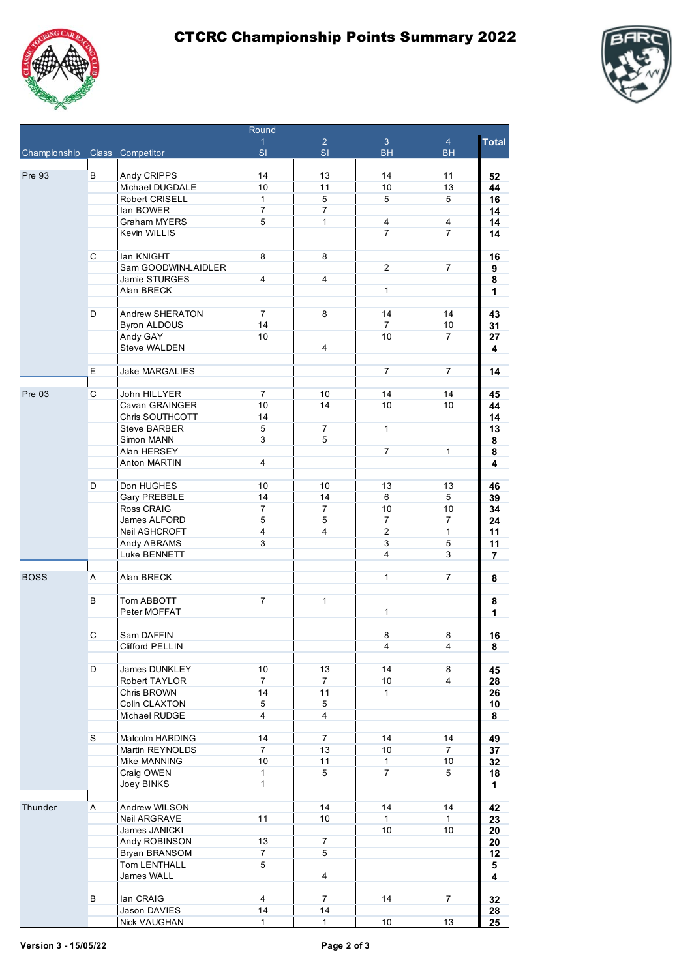





| Round                         |              |                                        |                              |                |                 |                |              |
|-------------------------------|--------------|----------------------------------------|------------------------------|----------------|-----------------|----------------|--------------|
|                               |              |                                        | $\mathbf{1}$                 | $\overline{2}$ | $\mathbf{3}$    | $\overline{4}$ | <b>Total</b> |
| Championship Class Competitor |              |                                        | $\overline{\mathsf{SI}}$     | $\overline{s}$ | <b>BH</b>       | <b>BH</b>      |              |
|                               |              |                                        |                              |                |                 |                |              |
| <b>Pre 93</b>                 | B            | Andy CRIPPS<br>Michael DUGDALE         | 14<br>10                     | 13<br>11       | 14<br>10        | 11<br>13       | 52<br>44     |
|                               |              | <b>Robert CRISELL</b>                  | $\mathbf{1}$                 | 5              | 5               | 5              | 16           |
|                               |              | lan BOWER                              | $\overline{7}$               | $\overline{7}$ |                 |                | 14           |
|                               |              | Graham MYERS                           | 5                            | $\mathbf{1}$   | 4               | 4              | 14           |
|                               |              | Kevin WILLIS                           |                              |                | $\overline{7}$  | $\overline{7}$ | 14           |
|                               |              |                                        |                              |                |                 |                |              |
|                               | C            | lan KNIGHT                             | 8                            | 8              |                 |                | 16           |
|                               |              | Sam GOODWIN-LAIDLER                    |                              |                | $\overline{2}$  | 7              | 9            |
|                               |              | Jamie STURGES                          | $\overline{4}$               | $\overline{4}$ |                 |                | 8            |
|                               |              | Alan BRECK                             |                              |                | $\mathbf{1}$    |                | 1            |
|                               | D            |                                        | $\overline{7}$               | 8              | 14              | 14             |              |
|                               |              | Andrew SHERATON<br><b>Byron ALDOUS</b> | 14                           |                | $\overline{7}$  | 10             | 43<br>31     |
|                               |              | Andy GAY                               | 10 <sup>1</sup>              |                | 10              | $\overline{7}$ | 27           |
|                               |              | Steve WALDEN                           |                              | 4              |                 |                | 4            |
|                               |              |                                        |                              |                |                 |                |              |
|                               | E            | Jake MARGALIES                         |                              |                | $\overline{7}$  | $\overline{7}$ | 14           |
|                               |              |                                        |                              |                |                 |                |              |
| <b>Pre 03</b>                 | C            | John HILLYER                           | $\overline{7}$               | 10             | 14              | 14             | 45           |
|                               |              | Cavan GRAINGER                         | 10                           | 14             | 10              | 10             | 44           |
|                               |              | Chris SOUTHCOTT                        | 14                           |                |                 |                | 14           |
|                               |              | <b>Steve BARBER</b>                    | 5                            | $\overline{7}$ | $\mathbf{1}$    |                | 13           |
|                               |              | Simon MANN                             | 3                            | 5              |                 |                | 8            |
|                               |              | Alan HERSEY                            |                              |                | $\overline{7}$  | $\mathbf{1}$   | 8            |
|                               |              | <b>Anton MARTIN</b>                    | 4                            |                |                 |                | 4            |
|                               | D            | Don HUGHES                             | 10                           | 10             | 13              | 13             | 46           |
|                               |              | Gary PREBBLE                           | 14                           | 14             | 6               | 5              | 39           |
|                               |              | Ross CRAIG                             | $\overline{7}$               | $\overline{7}$ | 10              | 10             | 34           |
|                               |              | James ALFORD                           | 5                            | 5              | $\overline{7}$  | $\overline{7}$ | 24           |
|                               |              | Neil ASHCROFT                          | $\overline{4}$               | 4              | $\overline{2}$  | $\mathbf{1}$   | 11           |
|                               |              | Andy ABRAMS                            | 3                            |                | 3               | 5              | 11           |
|                               |              | Luke BENNETT                           |                              |                | $\overline{4}$  | 3              | 7            |
|                               |              |                                        |                              |                |                 |                |              |
| <b>BOSS</b>                   | Α            | Alan BRECK                             |                              |                | $\mathbf{1}$    | $\overline{7}$ | 8            |
|                               |              |                                        |                              |                |                 |                |              |
|                               | B            | Tom ABBOTT                             | $\overline{7}$               | 1              |                 |                | 8            |
|                               |              | Peter MOFFAT                           |                              |                | $\mathbf{1}$    |                | 1            |
|                               | C            |                                        |                              |                |                 |                |              |
|                               |              | Sam DAFFIN                             |                              |                | 8               | 8              | 16           |
|                               |              | Clifford PELLIN                        |                              |                | 4               | 4              | 8            |
|                               | D            | James DUNKLEY                          | 10                           | 13             | 14              | 8              | 45           |
|                               |              | Robert TAYLOR                          | $\overline{7}$               | $\overline{7}$ | 10              | $\overline{4}$ | 28           |
|                               |              | Chris BROWN                            | 14                           | 11             | $\mathbf{1}$    |                | 26           |
|                               |              | Colin CLAXTON                          | 5                            | 5              |                 |                | 10           |
|                               |              | Michael RUDGE                          | $\overline{4}$               | $\overline{4}$ |                 |                | 8            |
|                               |              |                                        |                              |                |                 |                |              |
|                               | S            | Malcolm HARDING                        | 14                           | $\overline{7}$ | 14              | 14             | 49           |
|                               |              | Martin REYNOLDS                        | $\overline{7}$               | 13             | 10 <sub>1</sub> | $\overline{7}$ | 37           |
|                               |              | Mike MANNING                           | 10                           | 11             | $\mathbf{1}$    | 10             | 32           |
|                               |              | Craig OWEN<br>Joey BINKS               | $\mathbf{1}$<br>$\mathbf{1}$ | 5              | $\overline{7}$  | 5              | 18           |
|                               |              |                                        |                              |                |                 |                | 1            |
| Thunder                       | $\mathsf{A}$ | Andrew WILSON                          |                              | 14             | 14              | 14             | 42           |
|                               |              | Neil ARGRAVE                           | 11                           | 10             | $\mathbf{1}$    | $\mathbf{1}$   | 23           |
|                               |              | James JANICKI                          |                              |                | 10 <sup>1</sup> | 10             | 20           |
|                               |              | Andy ROBINSON                          | 13                           | $\overline{7}$ |                 |                | 20           |
|                               |              | Bryan BRANSOM                          | $\overline{7}$               | 5              |                 |                | 12           |
|                               |              | Tom LENTHALL                           | 5                            |                |                 |                | 5            |
|                               |              | James WALL                             |                              | $\overline{4}$ |                 |                | 4            |
|                               |              |                                        |                              |                |                 |                |              |
|                               | В            | lan CRAIG                              | $\overline{4}$               | $\overline{7}$ | 14              | $\overline{7}$ | 32           |
|                               |              | Jason DAVIES                           | 14                           | 14             |                 |                | 28           |
|                               |              | <b>Nick VAUGHAN</b>                    | $\mathbf{1}$                 | $\mathbf{1}$   | $10$            | 13             | 25           |